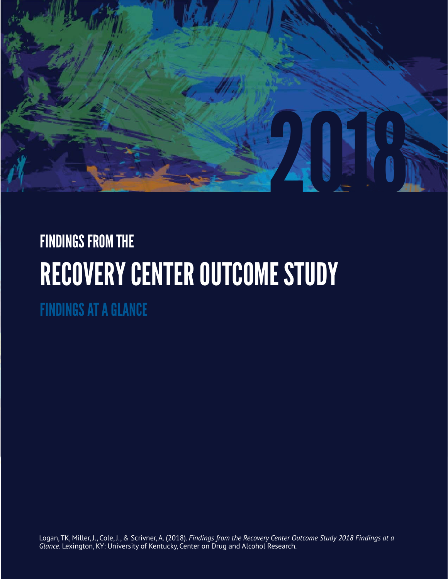

# FINDINGS FROM THE RECOVERY CENTER OUTCOME STUDY

FINDINGS AT A GLANCE

Logan, TK, Miller, J., Cole, J., & Scrivner, A. (2018). *Findings from the Recovery Center Outcome Study 2018 Findings at a Glance*. Lexington, KY: University of Kentucky, Center on Drug and Alcohol Research.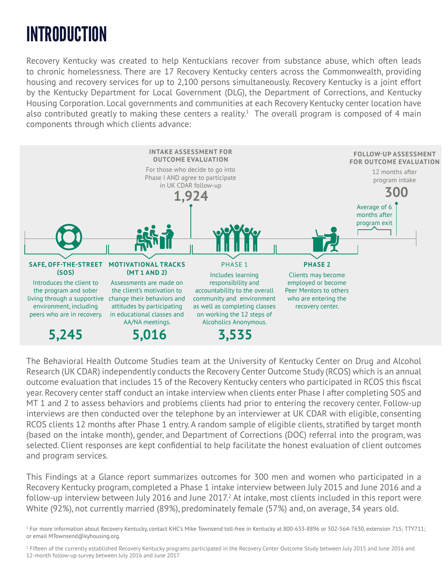# INTRODUCTION

Recovery Kentucky was created to help Kentuckians recover from substance abuse, which often leads to chronic homelessness. There are 17 Recovery Kentucky centers across the Commonwealth, providing housing and recovery services for up to 2,100 persons simultaneously. Recovery Kentucky is a joint effort by the Kentucky Department for Local Government (DLG), the Department of Corrections, and Kentucky Housing Corporation. Local governments and communities at each Recovery Kentucky center location have also contributed greatly to making these centers a reality. $^1$  The overall program is composed of 4 main components through which clients advance:



The Behavioral Health Outcome Studies team at the University of Kentucky Center on Drug and Alcohol Research (UK CDAR) independently conducts the Recovery Center Outcome Study (RCOS) which is an annual outcome evaluation that includes 15 of the Recovery Kentucky centers who participated in RCOS this fiscal year. Recovery center staff conduct an intake interview when clients enter Phase I after completing SOS and MT 1 and 2 to assess behaviors and problems clients had prior to entering the recovery center. Follow-up interviews are then conducted over the telephone by an interviewer at UK CDAR with eligible, consenting RCOS clients 12 months after Phase 1 entry. A random sample of eligible clients, stratified by target month (based on the intake month), gender, and Department of Corrections (DOC) referral into the program, was selected. Client responses are kept confidential to help facilitate the honest evaluation of client outcomes and program services.

This Findings at a Glance report summarizes outcomes for 300 men and women who participated in a Recovery Kentucky program, completed a Phase 1 intake interview between July 2015 and June 2016 and a follow-up interview between July 2016 and June 2017.<sup>2</sup> At intake, most clients included in this report were White (92%), not currently married (89%), predominately female (57%) and, on average, 34 years old.

<sup>1</sup> For more information about Recovery Kentucky, contact KHC's Mike Townsend toll-free in Kentucky at 800-633-8896 or 502-564-7630, extension 715; TTY711; or email MTownsend@kyhousing.org.

<sup>2</sup> Fifteen of the currently established Recovery Kentucky programs participated in the Recovery Center Outcome Study between July 2015 and June 2016 and 12-month follow-up survey between July 2016 and June 2017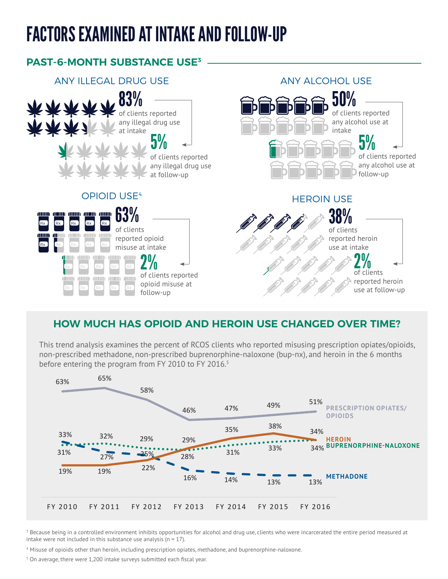# FACTORS EXAMINED AT INTAKE AND FOLLOW-UP



#### **HOW MUCH HAS OPIOID AND HEROIN USE CHANGED OVER TIME?**

This trend analysis examines the percent of RCOS clients who reported misusing prescription opiates/opioids, non-prescribed methadone, non-prescribed buprenorphine-naloxone (bup-nx), and heroin in the 6 months before entering the program from FY 2010 to FY 2016.<sup>5</sup>



 $^{\rm 3}$  Because being in a controlled environment inhibits opportunities for alcohol and drug use, clients who were incarcerated the entire period measured at intake were not included in this substance use analysis ( $n = 17$ ).

4 Misuse of opioids other than heroin, including prescription opiates, methadone, and buprenorphine-naloxone.

 $5$  On average, there were 1,200 intake surveys submitted each fiscal year.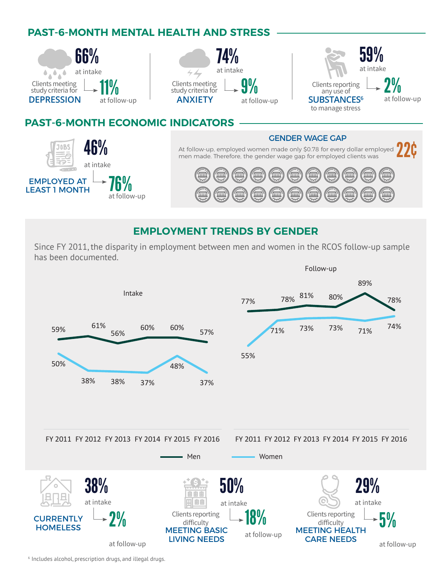### **PAST-6-MONTH MENTAL HEALTH AND STRESS**



#### **EMPLOYMENT TRENDS BY GENDER**

Since FY 2011, the disparity in employment between men and women in the RCOS follow-up sample has been documented.



6 Includes alcohol, prescription drugs, and illegal drugs.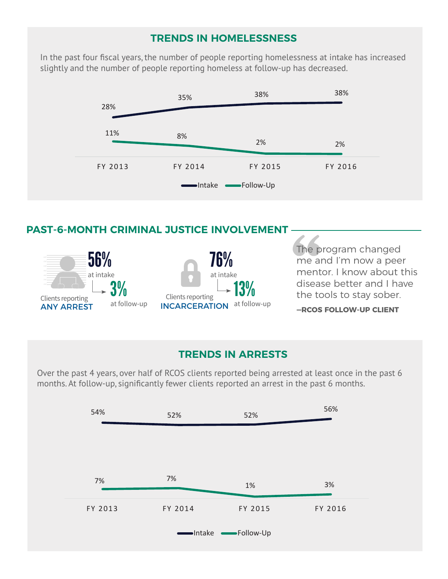#### **TRENDS IN HOMELESSNESS**

In the past four fiscal years, the number of people reporting homelessness at intake has increased slightly and the number of people reporting homeless at follow-up has decreased.



#### **PAST-6-MONTH CRIMINAL JUSTICE INVOLVEMENT**



The program changed me and I'm now a peer mentor. I know about this disease better and I have the tools to stay sober.

#### **—RCOS FOLLOW-UP CLIENT**

#### **TRENDS IN ARRESTS**

Over the past 4 years, over half of RCOS clients reported being arrested at least once in the past 6 months. At follow-up, significantly fewer clients reported an arrest in the past 6 months.